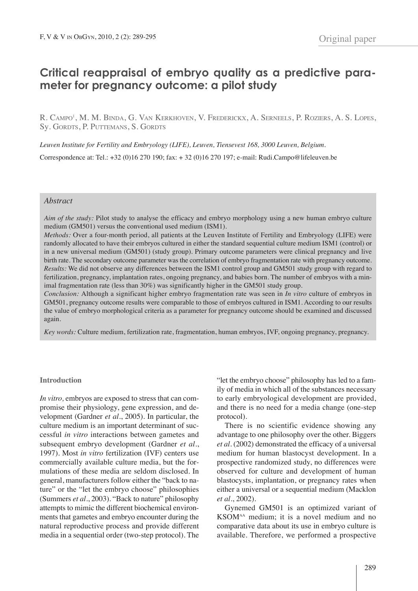# **Critical reappraisal of embryo quality as a predictive parameter for pregnancy outcome: a pilot study**

R. Campo<sup>1</sup>, M. M. Binda, G. Van Kerkhoven, V. Frederickx, A. Serneels, P. Roziers, A. S. Lopes, Sy. GORDTS, P. PUTTEMANS, S. GORDTS

*Leuven Institute for Fertility and Embryology (LIFE), Leuven, Tiensevest 168, 3000 Leuven, Belgium*. Correspondence at: Tel.: +32 (0)16 270 190; fax: + 32 (0)16 270 197; e-mail: Rudi.Campo@lifeleuven.be

## *Abstract*

*Aim of the study:* Pilot study to analyse the efficacy and embryo morphology using a new human embryo culture medium (GM501) versus the conventional used medium (ISM1).

*Methods:* Over a four-month period, all patients at the Leuven Institute of Fertility and Embryology (LIFE) were randomly allocated to have their embryos cultured in either the standard sequential culture medium ISM1 (control) or in a new universal medium (GM501) (study group). Primary outcome parameters were clinical pregnancy and live birth rate. The secondary outcome parameter was the correlation of embryo fragmentation rate with pregnancy outcome. *Results:* We did not observe any differences between the ISM1 control group and GM501 study group with regard to fertilization, pregnancy, implantation rates, ongoing pregnancy, and babies born. The number of embryos with a minimal fragmentation rate (less than 30%) was significantly higher in the GM501 study group.

*Conclusion:* Although a significant higher embryo fragmentation rate was seen in *In vitro* culture of embryos in GM501, pregnancy outcome results were comparable to those of embryos cultured in ISM1. According to our results the value of embryo morphological criteria as a parameter for pregnancy outcome should be examined and discussed again.

*Key words:* Culture medium, fertilization rate, fragmentation, human embryos, IVF, ongoing pregnancy, pregnancy.

#### **Introduction**

*In vitro,* embryos are exposed to stress that can compromise their physiology, gene expression, and development (Gardner *et al.*, 2005). In particular, the culture medium is an important determinant of successful *in vitro* interactions between gametes and subsequent embryo development (Gardner *et al.*, 1997). Most *in vitro* fertilization (IVF) centers use commercially available culture media, but the formulations of these media are seldom disclosed. In general, manufacturers follow either the "back to nature" or the "let the embryo choose" philosophies (Summers *et al.*, 2003). "Back to nature" philosophy attempts to mimic the different biochemical environments that gametes and embryo encounter during the natural reproductive process and provide different media in a sequential order (two-step protocol). The "let the embryo choose" philosophy has led to a family of media in which all of the substances necessary to early embryological development are provided, and there is no need for a media change (one-step protocol).

There is no scientific evidence showing any advantage to one philosophy over the other. biggers *et al*. (2002) demonstrated the efficacy of a universal medium for human blastocyst development. In a prospective randomized study, no differences were observed for culture and development of human blastocysts, implantation, or pregnancy rates when either a universal or a sequential medium (Macklon *et al.*, 2002).

Gynemed GM501 is an optimized variant of KSOMAA medium; it is a novel medium and no comparative data about its use in embryo culture is available. Therefore, we performed a prospective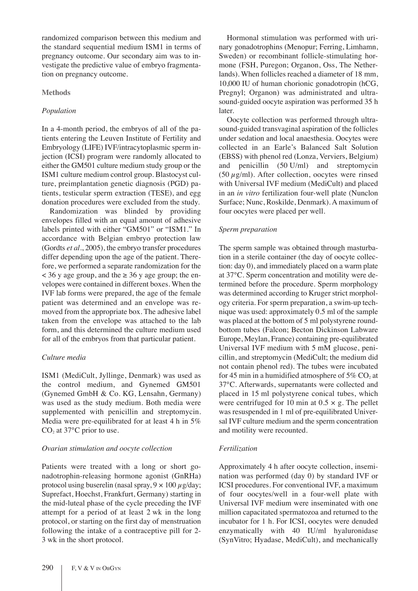randomized comparison between this medium and the standard sequential medium ISM1 in terms of pregnancy outcome. Our secondary aim was to investigate the predictive value of embryo fragmentation on pregnancy outcome.

## **Methods**

## *Population*

In a 4-month period, the embryos of all of the patients entering the Leuven Institute of Fertility and Embryology (LIFE) IVF/intracytoplasmic sperm injection (ICSI) program were randomly allocated to either the GM501 culture medium study group or the ISM1 culture medium control group. blastocyst culture, preimplantation genetic diagnosis (PGD) patients, testicular sperm extraction (TESE), and egg donation procedures were excluded from the study.

Randomization was blinded by providing envelopes filled with an equal amount of adhesive labels printed with either "GM501" or "ISM1." In accordance with belgian embryo protection law (Gordts *et al.*, 2005), the embryo transfer procedures differ depending upon the age of the patient. Therefore, we performed a separate randomization for the  $\lt$  36 y age group, and the  $\geq$  36 y age group; the envelopes were contained in different boxes. When the IVF lab forms were prepared, the age of the female patient was determined and an envelope was removed from the appropriate box. The adhesive label taken from the envelope was attached to the lab form, and this determined the culture medium used for all of the embryos from that particular patient.

## *Culture media*

ISM1 (MediCult, Jyllinge, Denmark) was used as the control medium, and Gynemed GM501 (Gynemed Gmbh & Co. KG, Lensahn, Germany) was used as the study medium. Both media were supplemented with penicillin and streptomycin. Media were pre-equilibrated for at least 4 h in 5%  $CO<sub>2</sub>$  at 37°C prior to use.

## *Ovarian stimulation and oocyte collection*

Patients were treated with a long or short gonadotrophin-releasing hormone agonist (GnRha) protocol using buserelin (nasal spray,  $9 \times 100 \mu$ g/day; Suprefact, hoechst, Frankfurt, Germany) starting in the mid-luteal phase of the cycle preceding the IVF attempt for a period of at least 2 wk in the long protocol, or starting on the first day of menstruation following the intake of a contraceptive pill for 2- 3 wk in the short protocol.

hormonal stimulation was performed with urinary gonadotrophins (Menopur; Ferring, Limhamn, Sweden) or recombinant follicle-stimulating hormone (FSH, Puregon; Organon, Oss, The Netherlands). When follicles reached a diameter of 18 mm, 10,000 IU of human chorionic gonadotropin (hCG, Pregnyl; Organon) was administrated and ultrasound-guided oocyte aspiration was performed 35 h later.

Oocyte collection was performed through ultrasound-guided transvaginal aspiration of the follicles under sedation and local anaesthesia. Oocytes were collected in an Earle's Balanced Salt Solution (EbSS) with phenol red (Lonza, Verviers, belgium) and penicillin  $(50 \text{ U/ml})$  and streptomycin (50  $\mu$ g/ml). After collection, oocytes were rinsed with Universal IVF medium (MediCult) and placed in an *in vitro* fertilization four-well plate (Nunclon Surface; Nunc, Roskilde, Denmark). A maximum of four oocytes were placed per well.

# *Sperm preparation*

The sperm sample was obtained through masturbation in a sterile container (the day of oocyte collection: day 0), and immediately placed on a warm plate at 37°C. Sperm concentration and motility were determined before the procedure. Sperm morphology was determined according to Kruger strict morphology criteria. For sperm preparation, a swim-up technique was used: approximately 0.5 ml of the sample was placed at the bottom of 5 ml polystyrene roundbottom tubes (Falcon; Becton Dickinson Labware Europe, Meylan, France) containing pre-equilibrated Universal IVF medium with 5 mM glucose, penicillin, and streptomycin (MediCult; the medium did not contain phenol red). The tubes were incubated for 45 min in a humidified atmosphere of  $5\%$  CO<sub>2</sub> at 37°C. Afterwards, supernatants were collected and placed in 15 ml polystyrene conical tubes, which were centrifuged for 10 min at  $0.5 \times g$ . The pellet was resuspended in 1 ml of pre-equilibrated Universal IVF culture medium and the sperm concentration and motility were recounted.

## *Fertilization*

Approximately 4 h after oocyte collection, insemination was performed (day 0) by standard IVF or ICSI procedures. For conventional IVF, a maximum of four oocytes/well in a four-well plate with Universal IVF medium were inseminated with one million capacitated spermatozoa and returned to the incubator for 1 h. For ICSI, oocytes were denuded enzymatically with 40 IU/ml hyaluronidase (SynVitro; Hyadase, MediCult), and mechanically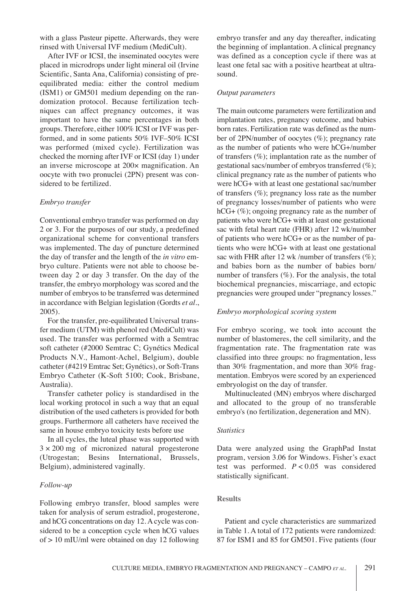with a glass Pasteur pipette. Afterwards, they were rinsed with Universal IVF medium (MediCult).

After IVF or ICSI, the inseminated oocytes were placed in microdrops under light mineral oil (Irvine Scientific, Santa Ana, California) consisting of preequilibrated media: either the control medium (ISM1) or GM501 medium depending on the randomization protocol. because fertilization techniques can affect pregnancy outcomes, it was important to have the same percentages in both groups. Therefore, either 100% ICSI or IVF was performed, and in some patients 50% IVF–50% ICSI was performed (mixed cycle). Fertilization was checked the morning after IVF or ICSI (day 1) under an inverse microscope at 200× magnification. An oocyte with two pronuclei (2Pn) present was considered to be fertilized.

## *Embryo transfer*

Conventional embryo transfer was performed on day 2 or 3. For the purposes of our study, a predefined organizational scheme for conventional transfers was implemented. The day of puncture determined the day of transfer and the length of the *in vitro* embryo culture. Patients were not able to choose between day 2 or day 3 transfer. On the day of the transfer, the embryo morphology was scored and the number of embryos to be transferred was determined in accordance with belgian legislation (Gordts *et al.*, 2005).

For the transfer, pre-equilibrated Universal transfer medium (UTM) with phenol red (MediCult) was used. The transfer was performed with a Semtrac soft catheter (#2000 Semtrac C; Gynétics Medical Products n.V., hamont-Achel, belgium), double catheter (#4219 Emtrac Set; Gynétics), or Soft-Trans Embryo Catheter (K-Soft 5100; Cook, brisbane, Australia).

Transfer catheter policy is standardised in the local working protocol in such a way that an equal distribution of the used catheters is provided for both groups. Furthermore all catheters have received the same in house embryo toxicity tests before use

In all cycles, the luteal phase was supported with  $3 \times 200$  mg of micronized natural progesterone (Utrogestan; Besins International, Brussels, belgium), administered vaginally.

#### *Follow-up*

Following embryo transfer, blood samples were taken for analysis of serum estradiol, progesterone, and hCG concentrations on day 12. A cycle was considered to be a conception cycle when hCG values of  $> 10$  mIU/ml were obtained on day 12 following embryo transfer and any day thereafter, indicating the beginning of implantation. A clinical pregnancy was defined as a conception cycle if there was at least one fetal sac with a positive heartbeat at ultrasound.

#### *Output parameters*

The main outcome parameters were fertilization and implantation rates, pregnancy outcome, and babies born rates. Fertilization rate was defined as the number of 2Pn/number of oocytes (%); pregnancy rate as the number of patients who were hCG+/number of transfers  $(\%)$ ; implantation rate as the number of gestational sacs/number of embryos transferred (%); clinical pregnancy rate as the number of patients who were hCG+ with at least one gestational sac/number of transfers  $(\%)$ ; pregnancy loss rate as the number of pregnancy losses/number of patients who were hCG+ (%); ongoing pregnancy rate as the number of patients who were hCG+ with at least one gestational sac with fetal heart rate (FhR) after 12 wk/number of patients who were hCG+ or as the number of patients who were hCG+ with at least one gestational sac with FHR after 12 wk /number of transfers  $(\%)$ ; and babies born as the number of babies born/ number of transfers  $(\%)$ . For the analysis, the total biochemical pregnancies, miscarriage, and ectopic pregnancies were grouped under "pregnancy losses."

#### *Embryo morphological scoring system*

For embryo scoring, we took into account the number of blastomeres, the cell similarity, and the fragmentation rate. The fragmentation rate was classified into three groups: no fragmentation, less than 30% fragmentation, and more than 30% fragmentation. Embryos were scored by an experienced embryologist on the day of transfer.

Multinucleated (MN) embryos where discharged and allocated to the group of no transferable embryo's (no fertilization, degeneration and MN).

#### *Statistics*

Data were analyzed using the GraphPad Instat program, version 3.06 for Windows. Fisher's exact test was performed. *P* < 0.05 was considered statistically significant.

## **Results**

Patient and cycle characteristics are summarized in Table 1. A total of 172 patients were randomized: 87 for ISM1 and 85 for GM501. Five patients (four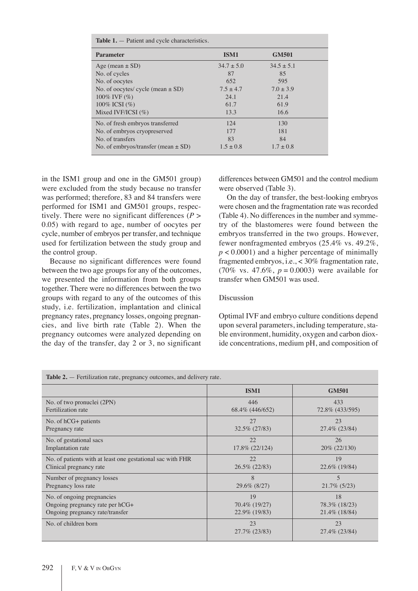| <b>Table 1.</b> $-$ Patient and cycle characteristics. |                |                |  |  |  |
|--------------------------------------------------------|----------------|----------------|--|--|--|
| <b>Parameter</b>                                       | ISM1           | <b>GM501</b>   |  |  |  |
| Age (mean $\pm$ SD)                                    | $34.7 \pm 5.0$ | $34.5 \pm 5.1$ |  |  |  |
| No. of cycles                                          | 87             | 85             |  |  |  |
| No. of oocytes                                         | 652            | 595            |  |  |  |
| No. of oocytes/ cycle (mean $\pm$ SD)                  | $7.5 + 4.7$    | $7.0 \pm 3.9$  |  |  |  |
| 100% IVF $(\%)$                                        | 24.1           | 21.4           |  |  |  |
| 100\% ICSI $(\%)$                                      | 61.7           | 61.9           |  |  |  |
| Mixed IVF/ICSI $(\% )$                                 | 13.3           | 16.6           |  |  |  |
| No. of fresh embryos transferred                       | 124            | 130            |  |  |  |
| No. of embryos cryopreserved                           | 177            | 181            |  |  |  |
| No. of transfers                                       | 83             | 84             |  |  |  |
| No. of embryos/transfer (mean $\pm$ SD)                | $1.5 \pm 0.8$  | $1.7 \pm 0.8$  |  |  |  |

in the ISM1 group and one in the GM501 group) were excluded from the study because no transfer was performed; therefore, 83 and 84 transfers were performed for ISM1 and GM501 groups, respectively. There were no significant differences  $(P >$ 0.05) with regard to age, number of oocytes per cycle, number of embryos per transfer, and technique used for fertilization between the study group and the control group.

because no significant differences were found between the two age groups for any of the outcomes, we presented the information from both groups together. There were no differences between the two groups with regard to any of the outcomes of this study, i.e. fertilization, implantation and clinical pregnancy rates, pregnancy losses, ongoing pregnancies, and live birth rate (Table 2). When the pregnancy outcomes were analyzed depending on the day of the transfer, day 2 or 3, no significant differences between GM501 and the control medium were observed (Table 3).

On the day of transfer, the best-looking embryos were chosen and the fragmentation rate was recorded (Table 4). No differences in the number and symmetry of the blastomeres were found between the embryos transferred in the two groups. however, fewer nonfragmented embryos (25.4% vs. 49.2%,  $p < 0.0001$ ) and a higher percentage of minimally fragmented embryos, i.e.,  $\frac{1}{5}$  30% fragmentation rate, (70% vs. 47.6%,  $p = 0.0003$ ) were available for transfer when GM501 was used.

## **Discussion**

Optimal IVF and embryo culture conditions depend upon several parameters, including temperature, stable environment, humidity, oxygen and carbon dioxide concentrations, medium ph, and composition of

| <b>Table 2.</b> — Fertilization rate, pregnancy outcomes, and delivery rate. |                     |                     |  |  |
|------------------------------------------------------------------------------|---------------------|---------------------|--|--|
|                                                                              | ISM1                | <b>GM501</b>        |  |  |
| No. of two pronuclei (2PN)                                                   | 446                 | 433                 |  |  |
| Fertilization rate                                                           | 68.4% (446/652)     | 72.8% (433/595)     |  |  |
| No. of $hCG+$ patients                                                       | 27                  | 23                  |  |  |
| Pregnancy rate                                                               | 32.5% (27/83)       | 27.4\% (23/84)      |  |  |
| No. of gestational sacs                                                      | 22                  | 26                  |  |  |
| Implantation rate                                                            | 17.8% (22/124)      | 20\% (22/130)       |  |  |
| No. of patients with at least one gestational sac with FHR                   | 22                  | 19                  |  |  |
| Clinical pregnancy rate                                                      | 26.5% (22/83)       | 22.6\% (19/84)      |  |  |
| Number of pregnancy losses                                                   | 8                   | $\overline{5}$      |  |  |
| Pregnancy loss rate                                                          | 29.6% (8/27)        | $21.7\%$ (5/23)     |  |  |
| No. of ongoing pregnancies                                                   | 19                  | 18                  |  |  |
| Ongoing pregnancy rate per hCG+                                              | 70.4% (19/27)       | 78.3% (18/23)       |  |  |
| Ongoing pregnancy rate/transfer                                              | 22.9% (19/83)       | 21.4\% (18\,84)     |  |  |
| No. of children born                                                         | 23<br>27.7% (23/83) | 23<br>27.4% (23/84) |  |  |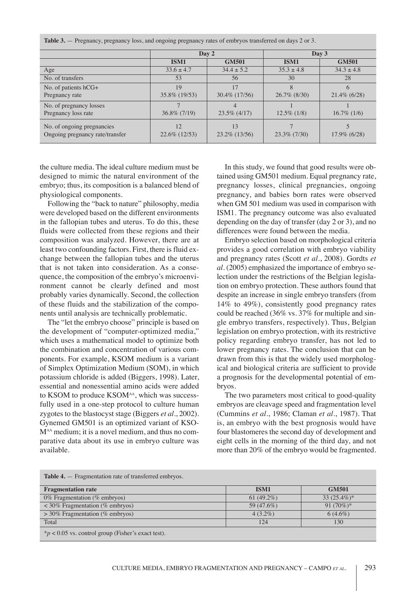| $\sim$ 1 $\sim$<br>$\tilde{\phantom{a}}$<br>$\sim$ 1          |                     |                        |                 |                 |  |  |
|---------------------------------------------------------------|---------------------|------------------------|-----------------|-----------------|--|--|
|                                                               | Day 2               |                        | Day 3           |                 |  |  |
|                                                               | ISM1                | <b>GM501</b>           | ISM1            | <b>GM501</b>    |  |  |
| Age                                                           | $33.6 \pm 4.7$      | $34.4 \pm 5.2$         | $35.3 \pm 4.8$  | $34.3 \pm 4.8$  |  |  |
| No. of transfers                                              | 53                  | 56                     | 30              | 28              |  |  |
| No. of patients hCG+                                          | 19                  | 17                     | 8               | $\theta$        |  |  |
| Pregnancy rate                                                | 35.8% (19/53)       | 30.4\% (17/56)         | $26.7\%$ (8/30) | $21.4\%$ (6/28) |  |  |
| No. of pregnancy losses                                       |                     |                        |                 |                 |  |  |
| Pregnancy loss rate                                           | $36.8\%$ (7/19)     | $23.5\%$ (4/17)        | $12.5\%$ (1/8)  | $16.7\%$ (1/6)  |  |  |
| No. of ongoing pregnancies<br>Ongoing pregnancy rate/transfer | 12<br>22.6% (12/53) | 13<br>$23.2\%$ (13/56) | $23.3\%$ (7/30) | $17.9\%$ (6/28) |  |  |
|                                                               |                     |                        |                 |                 |  |  |

**Table 3.** — Pregnancy, pregnancy loss, and ongoing pregnancy rates of embryos transferred on days 2 or 3.

the culture media. The ideal culture medium must be designed to mimic the natural environment of the embryo; thus, its composition is a balanced blend of physiological components.

Following the "back to nature" philosophy, media were developed based on the different environments in the fallopian tubes and uterus. To do this, these fluids were collected from these regions and their composition was analyzed. however, there are at least two confounding factors. First, there is fluid exchange between the fallopian tubes and the uterus that is not taken into consideration. As a consequence, the composition of the embryo's microenvironment cannot be clearly defined and most probably varies dynamically. Second, the collection of these fluids and the stabilization of the components until analysis are technically problematic.

The "let the embryo choose" principle is based on the development of "computer-optimized media," which uses a mathematical model to optimize both the combination and concentration of various components. For example, KSOM medium is a variant of Simplex Optimization Medium (SOM), in which potassium chloride is added (Biggers, 1998). Later, essential and nonessential amino acids were added to KSOM to produce KSOM<sup>AA</sup>, which was successfully used in a one-step protocol to culture human zygotes to the blastocyst stage (biggers *et al.*, 2002). Gynemed GM501 is an optimized variant of KSO-M<sup>AA</sup> medium; it is a novel medium, and thus no comparative data about its use in embryo culture was available.

In this study, we found that good results were obtained using GM501 medium. Equal pregnancy rate, pregnancy losses, clinical pregnancies, ongoing pregnancy, and babies born rates were observed when GM 501 medium was used in comparison with ISM1. The pregnancy outcome was also evaluated depending on the day of transfer (day 2 or 3), and no differences were found between the media.

Embryo selection based on morphological criteria provides a good correlation with embryo viability and pregnancy rates (Scott *et al.*, 2008). Gordts *et al.* (2005) emphasized the importance of embryo selection under the restrictions of the Belgian legislation on embryo protection. These authors found that despite an increase in single embryo transfers (from 14% to 49%), consistently good pregnancy rates could be reached (36% vs. 37% for multiple and single embryo transfers, respectively). Thus, belgian legislation on embryo protection, with its restrictive policy regarding embryo transfer, has not led to lower pregnancy rates. The conclusion that can be drawn from this is that the widely used morphological and biological criteria are sufficient to provide a prognosis for the developmental potential of embryos.

The two parameters most critical to good-quality embryos are cleavage speed and fragmentation level (Cummins *et al.*, 1986; Claman *et al.*, 1987). That is, an embryo with the best prognosis would have four blastomeres the second day of development and eight cells in the morning of the third day, and not more than 20% of the embryo would be fragmented.

| <b>Table 4.</b> – Fragmentation rate of transferred embryos. |               |               |  |  |
|--------------------------------------------------------------|---------------|---------------|--|--|
| <b>Fragmentation rate</b>                                    | ISM1          | <b>GM501</b>  |  |  |
| 0% Fragmentation (% embryos)                                 | 61 $(49.2\%)$ | $33(25.4\%)*$ |  |  |
| $<$ 30% Fragmentation (% embryos)                            | 59 (47.6%)    | 91 $(70\%)^*$ |  |  |
| $>$ 30% Fragmentation (% embryos)                            | $4(3.2\%)$    | $6(4.6\%)$    |  |  |
| Total                                                        | 124           | 130           |  |  |
| $*_{p}$ < 0.05 vs. control group (Fisher's exact test).      |               |               |  |  |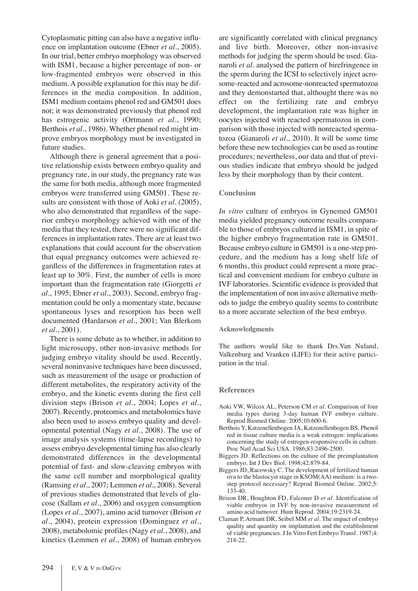Cytoplasmatic pitting can also have a negative influence on implantation outcome (Ebner *et al.*, 2005). In our trial, better embryo morphology was observed with ISM1, because a higher percentage of non- or low-fragmented embryos were observed in this medium. A possible explanation for this may be differences in the media composition. In addition, ISM1 medium contains phenol red and GM501 does not; it was demonstrated previously that phenol red has estrogenic activity (Ortmann *et al.*, 1990; berthois *et al.*, 1986). Whether phenol red might improve embryos morphology must be investigated in future studies.

Although there is general agreement that a positive relationship exists between embryo quality and pregnancy rate, in our study, the pregnancy rate was the same for both media, although more fragmented embryos were transferred using GM501. These results are consistent with those of Aoki *et al.* (2005), who also demonstrated that regardless of the superior embryo morphology achieved with one of the media that they tested, there were no significant differences in implantation rates. There are at least two explanations that could account for the observation that equal pregnancy outcomes were achieved regardless of the differences in fragmentation rates at least up to 30%. First, the number of cells is more important than the fragmentation rate (Giorgetti *et al.*, 1995; Ebner *et al.*, 2003). Second, embryo fragmentation could be only a momentary state, because spontaneous lyses and resorption has been well documented (hardarson *et al.*, 2001; Van blerkom *et al.*, 2001).

There is some debate as to whether, in addition to light microscopy, other non-invasive methods for judging embryo vitality should be used. Recently, several noninvasive techniques have been discussed, such as measurement of the usage or production of different metabolites, the respiratory activity of the embryo, and the kinetic events during the first cell division steps (brison *et al.*, 2004; Lopes *et al.*, 2007). Recently, proteomics and metabolomics have also been used to assess embryo quality and developmental potential (Nagy *et al.*, 2008). The use of image analysis systems (time-lapse recordings) to assess embryo developmental timing has also clearly demonstrated differences in the developmental potential of fast- and slow-cleaving embryos with the same cell number and morphological quality (Ramsing *et al.*, 2007; Lemmen *et al.*, 2008). Several of previous studies demonstrated that levels of glucose (Sallam *et al.*, 2006) and oxygen consumption (Lopes *et al.*, 2007), amino acid turnover (brison *et al.*, 2004), protein expression (Dominguez *et al.*, 2008), metabolomic profiles (nagy *et al.*, 2008), and kinetics (Lemmen *et al.*, 2008) of human embryos

are significantly correlated with clinical pregnancy and live birth. Moreover, other non-invasive methods for judging the sperm should be used. Gianaroli *et al.* analysed the pattern of birefringence in the sperm during the ICSI to selectively inject acrosome-reacted and acrosome-nonreacted spermatozoa and they demonstarted that, althought there was no effect on the fertilizing rate and embryo development, the implantation rate was higher in oocytes injected with reacted spermatozoa in comparison with those injected with nonreacted spermatozoa (Gianaroli *et al.*, 2010). It will be some time before these new technologies can be used as routine procedures; nevertheless, our data and that of previous studies indicate that embryo should be judged less by their morphology than by their content.

#### **Conclusion**

*In vitro* culture of embryos in Gynemed GM501 media yielded pregnancy outcome results comparable to those of embryos cultured in ISM1, in spite of the higher embryo fragmentation rate in GM501. because embryo culture in GM501 is a one-step procedure, and the medium has a long shelf life of 6 months, this product could represent a more practical and convenient medium for embryo culture in IVF laboratories. Scientific evidence is provided that the implementation of non invasive alternative methods to judge the embryo quality seems to contribute to a more accurate selection of the best embryo.

#### **Acknowledgments**

The authors would like to thank Drs.Van Nuland, Valkenburg and Vranken (LIFE) for their active participation in the trial.

#### **References**

- Aoki VW, Wilcox AL, Peterson CM *et al.* Comparison of four media types during 3-day human IVF embryo culture. Reprod biomed Online. 2005;10:600-6.
- berthois y, Katzenellenbogen JA, Katzenellenbogen bS. Phenol red in tissue culture media is a weak estrogen: implications concerning the study of estrogen-responsive cells in culture. Proc Natl Acad Sci USA. 1986;83:2496-2500.
- Biggers JD. Reflections on the culture of the preimplantation embryo. Int J Dev Biol. 1998;42:879-84.
- Biggers JD, Racowsky C. The development of fertilized human ova to the blastocyst stage in KSOM(AA) medium: is a twostep protocol necessary? Reprod Biomed Online. 2002;5: 133-40.
- Brison DR, Houghton FD, Falconer D et al. Identification of viable embryos in IVF by non-invasive measurement of amino acid turnover. hum Reprod. 2004;19:2319-24.
- Claman P, Armant DR, Seibel MM *et al*. The impact of embryo quality and quantity on implantation and the establishment of viable pregnancies. J In Vitro Fert Embryo Transf. 1987;4: 218-22.